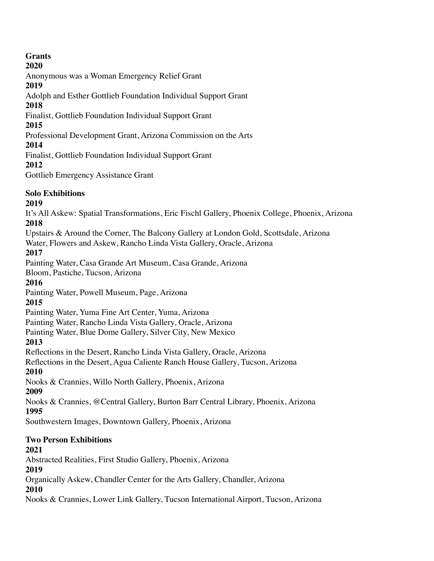## **Grants**

#### **2020**

Anonymous was a Woman Emergency Relief Grant

#### **2019**

Adolph and Esther Gottlieb Foundation Individual Support Grant

### **2018**

Finalist, Gottlieb Foundation Individual Support Grant

### **2015**

Professional Development Grant, Arizona Commission on the Arts

## **2014**

Finalist, Gottlieb Foundation Individual Support Grant

**2012**

Gottlieb Emergency Assistance Grant

## **Solo Exhibitions**

## **2019**

It's All Askew: Spatial Transformations, Eric Fischl Gallery, Phoenix College, Phoenix, Arizona **2018**

Upstairs & Around the Corner, The Balcony Gallery at London Gold, Scottsdale, Arizona

Water, Flowers and Askew, Rancho Linda Vista Gallery, Oracle, Arizona

## **2017**

Painting Water, Casa Grande Art Museum, Casa Grande, Arizona

Bloom, Pastiche, Tucson, Arizona

## **2016**

Painting Water, Powell Museum, Page, Arizona

# **2015**

Painting Water, Yuma Fine Art Center, Yuma, Arizona

Painting Water, Rancho Linda Vista Gallery, Oracle, Arizona

Painting Water, Blue Dome Gallery, Silver City, New Mexico

## **2013**

Reflections in the Desert, Rancho Linda Vista Gallery, Oracle, Arizona

Reflections in the Desert, Agua Caliente Ranch House Gallery, Tucson, Arizona **2010**

Nooks & Crannies, Willo North Gallery, Phoenix, Arizona

## **2009**

Nooks & Crannies, @Central Gallery, Burton Barr Central Library, Phoenix, Arizona **1995**

Southwestern Images, Downtown Gallery, Phoenix, Arizona

## **Two Person Exhibitions**

## **2021**

Abstracted Realities, First Studio Gallery, Phoenix, Arizona

**2019**

Organically Askew, Chandler Center for the Arts Gallery, Chandler, Arizona

## **2010**

Nooks & Crannies, Lower Link Gallery, Tucson International Airport, Tucson, Arizona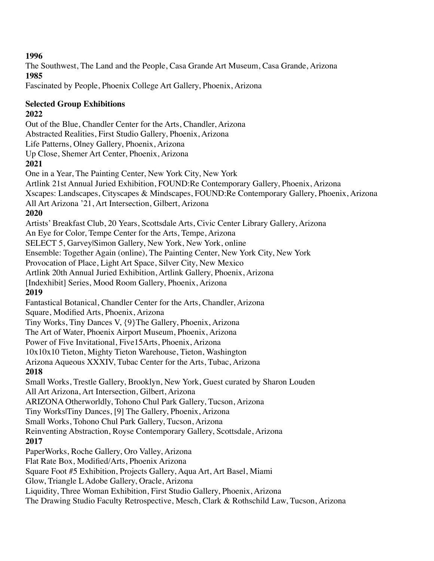The Southwest, The Land and the People, Casa Grande Art Museum, Casa Grande, Arizona **1985**

Fascinated by People, Phoenix College Art Gallery, Phoenix, Arizona

## **Selected Group Exhibitions**

### **2022**

Out of the Blue, Chandler Center for the Arts, Chandler, Arizona Abstracted Realities, First Studio Gallery, Phoenix, Arizona Life Patterns, Olney Gallery, Phoenix, Arizona Up Close, Shemer Art Center, Phoenix, Arizona **2021** One in a Year, The Painting Center, New York City, New York Artlink 21st Annual Juried Exhibition, FOUND:Re Contemporary Gallery, Phoenix, Arizona Xscapes: Landscapes, Cityscapes & Mindscapes, FOUND:Re Contemporary Gallery, Phoenix, Arizona All Art Arizona '21, Art Intersection, Gilbert, Arizona **2020** Artists' Breakfast Club, 20 Years, Scottsdale Arts, Civic Center Library Gallery, Arizona An Eye for Color, Tempe Center for the Arts, Tempe, Arizona SELECT 5, Garvey|Simon Gallery, New York, New York, online Ensemble: Together Again (online), The Painting Center, New York City, New York Provocation of Place, Light Art Space, Silver City, New Mexico Artlink 20th Annual Juried Exhibition, Artlink Gallery, Phoenix, Arizona [Indexhibit] Series, Mood Room Gallery, Phoenix, Arizona **2019** Fantastical Botanical, Chandler Center for the Arts, Chandler, Arizona Square, Modified Arts, Phoenix, Arizona Tiny Works, Tiny Dances V, {9}The Gallery, Phoenix, Arizona The Art of Water, Phoenix Airport Museum, Phoenix, Arizona Power of Five Invitational, Five15Arts, Phoenix, Arizona 10x10x10 Tieton, Mighty Tieton Warehouse, Tieton, Washington Arizona Aqueous XXXIV, Tubac Center for the Arts, Tubac, Arizona **2018** Small Works, Trestle Gallery, Brooklyn, New York, Guest curated by Sharon Louden All Art Arizona, Art Intersection, Gilbert, Arizona ARIZONA Otherworldly, Tohono Chul Park Gallery, Tucson, Arizona Tiny Works|Tiny Dances, [9] The Gallery, Phoenix, Arizona Small Works, Tohono Chul Park Gallery, Tucson, Arizona Reinventing Abstraction, Royse Contemporary Gallery, Scottsdale, Arizona **2017** PaperWorks, Roche Gallery, Oro Valley, Arizona Flat Rate Box, Modified/Arts, Phoenix Arizona Square Foot #5 Exhibition, Projects Gallery, Aqua Art, Art Basel, Miami Glow, Triangle L Adobe Gallery, Oracle, Arizona Liquidity, Three Woman Exhibition, First Studio Gallery, Phoenix, Arizona

The Drawing Studio Faculty Retrospective, Mesch, Clark & Rothschild Law, Tucson, Arizona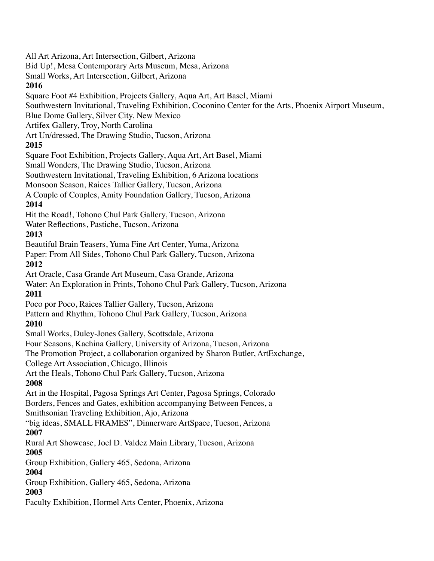Bid Up!, Mesa Contemporary Arts Museum, Mesa, Arizona Small Works, Art Intersection, Gilbert, Arizona **2016** Square Foot #4 Exhibition, Projects Gallery, Aqua Art, Art Basel, Miami Southwestern Invitational, Traveling Exhibition, Coconino Center for the Arts, Phoenix Airport Museum, Blue Dome Gallery, Silver City, New Mexico Artifex Gallery, Troy, North Carolina Art Un/dressed, The Drawing Studio, Tucson, Arizona **2015** Square Foot Exhibition, Projects Gallery, Aqua Art, Art Basel, Miami Small Wonders, The Drawing Studio, Tucson, Arizona Southwestern Invitational, Traveling Exhibition, 6 Arizona locations Monsoon Season, Raices Tallier Gallery, Tucson, Arizona A Couple of Couples, Amity Foundation Gallery, Tucson, Arizona **2014** Hit the Road!, Tohono Chul Park Gallery, Tucson, Arizona Water Reflections, Pastiche, Tucson, Arizona **2013** Beautiful Brain Teasers, Yuma Fine Art Center, Yuma, Arizona Paper: From All Sides, Tohono Chul Park Gallery, Tucson, Arizona **2012** Art Oracle, Casa Grande Art Museum, Casa Grande, Arizona Water: An Exploration in Prints, Tohono Chul Park Gallery, Tucson, Arizona **2011** Poco por Poco, Raices Tallier Gallery, Tucson, Arizona Pattern and Rhythm, Tohono Chul Park Gallery, Tucson, Arizona **2010** Small Works, Duley-Jones Gallery, Scottsdale, Arizona Four Seasons, Kachina Gallery, University of Arizona, Tucson, Arizona The Promotion Project, a collaboration organized by Sharon Butler, ArtExchange, College Art Association, Chicago, Illinois Art the Heals, Tohono Chul Park Gallery, Tucson, Arizona **2008** Art in the Hospital, Pagosa Springs Art Center, Pagosa Springs, Colorado Borders, Fences and Gates, exhibition accompanying Between Fences, a Smithsonian Traveling Exhibition, Ajo, Arizona "big ideas, SMALL FRAMES", Dinnerware ArtSpace, Tucson, Arizona **2007** Rural Art Showcase, Joel D. Valdez Main Library, Tucson, Arizona **2005** Group Exhibition, Gallery 465, Sedona, Arizona **2004** Group Exhibition, Gallery 465, Sedona, Arizona **2003** Faculty Exhibition, Hormel Arts Center, Phoenix, Arizona

All Art Arizona, Art Intersection, Gilbert, Arizona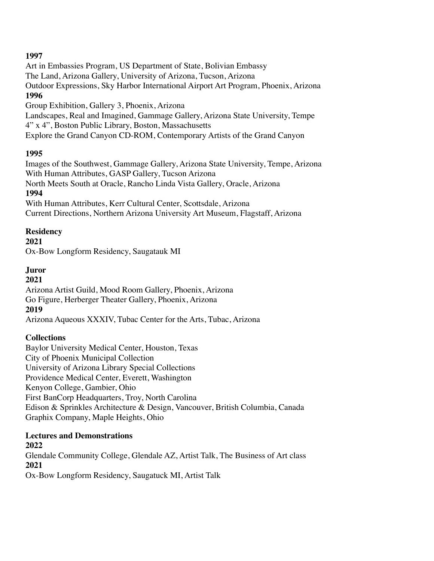Art in Embassies Program, US Department of State, Bolivian Embassy The Land, Arizona Gallery, University of Arizona, Tucson, Arizona Outdoor Expressions, Sky Harbor International Airport Art Program, Phoenix, Arizona **1996** Group Exhibition, Gallery 3, Phoenix, Arizona Landscapes, Real and Imagined, Gammage Gallery, Arizona State University, Tempe 4" x 4", Boston Public Library, Boston, Massachusetts

Explore the Grand Canyon CD-ROM, Contemporary Artists of the Grand Canyon

#### **1995**

Images of the Southwest, Gammage Gallery, Arizona State University, Tempe, Arizona With Human Attributes, GASP Gallery, Tucson Arizona North Meets South at Oracle, Rancho Linda Vista Gallery, Oracle, Arizona **1994** With Human Attributes, Kerr Cultural Center, Scottsdale, Arizona

Current Directions, Northern Arizona University Art Museum, Flagstaff, Arizona

#### **Residency**

#### **2021**

Ox-Bow Longform Residency, Saugatauk MI

### **Juror**

#### **2021**

Arizona Artist Guild, Mood Room Gallery, Phoenix, Arizona Go Figure, Herberger Theater Gallery, Phoenix, Arizona

### **2019**

Arizona Aqueous XXXIV, Tubac Center for the Arts, Tubac, Arizona

### **Collections**

Baylor University Medical Center, Houston, Texas City of Phoenix Municipal Collection University of Arizona Library Special Collections Providence Medical Center, Everett, Washington Kenyon College, Gambier, Ohio First BanCorp Headquarters, Troy, North Carolina Edison & Sprinkles Architecture & Design, Vancouver, British Columbia, Canada Graphix Company, Maple Heights, Ohio

#### **Lectures and Demonstrations**

### **2022**

Glendale Community College, Glendale AZ, Artist Talk, The Business of Art class **2021** Ox-Bow Longform Residency, Saugatuck MI, Artist Talk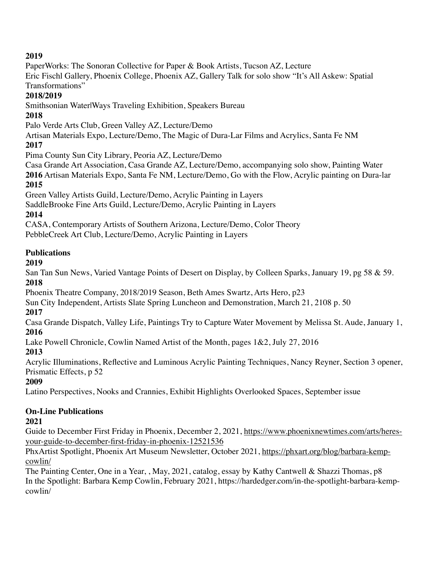PaperWorks: The Sonoran Collective for Paper & Book Artists, Tucson AZ, Lecture

Eric Fischl Gallery, Phoenix College, Phoenix AZ, Gallery Talk for solo show "It's All Askew: Spatial Transformations"

### **2018/2019**

Smithsonian Water|Ways Traveling Exhibition, Speakers Bureau

## **2018**

Palo Verde Arts Club, Green Valley AZ, Lecture/Demo

Artisan Materials Expo, Lecture/Demo, The Magic of Dura-Lar Films and Acrylics, Santa Fe NM

## **2017**

Pima County Sun City Library, Peoria AZ, Lecture/Demo

Casa Grande Art Association, Casa Grande AZ, Lecture/Demo, accompanying solo show, Painting Water **2016** Artisan Materials Expo, Santa Fe NM, Lecture/Demo, Go with the Flow, Acrylic painting on Dura-lar

## **2015**

Green Valley Artists Guild, Lecture/Demo, Acrylic Painting in Layers

SaddleBrooke Fine Arts Guild, Lecture/Demo, Acrylic Painting in Layers

# **2014**

CASA, Contemporary Artists of Southern Arizona, Lecture/Demo, Color Theory

PebbleCreek Art Club, Lecture/Demo, Acrylic Painting in Layers

# **Publications**

## **2019**

San Tan Sun News, Varied Vantage Points of Desert on Display, by Colleen Sparks, January 19, pg 58 & 59. **2018**

Phoenix Theatre Company, 2018/2019 Season, Beth Ames Swartz, Arts Hero, p23

Sun City Independent, Artists Slate Spring Luncheon and Demonstration, March 21, 2108 p. 50

# **2017**

Casa Grande Dispatch, Valley Life, Paintings Try to Capture Water Movement by Melissa St. Aude, January 1, **2016**

Lake Powell Chronicle, Cowlin Named Artist of the Month, pages 1&2, July 27, 2016

# **2013**

Acrylic Illuminations, Reflective and Luminous Acrylic Painting Techniques, Nancy Reyner, Section 3 opener, Prismatic Effects, p 52

# **2009**

Latino Perspectives, Nooks and Crannies, Exhibit Highlights Overlooked Spaces, September issue

## **On-Line Publications**

# **2021**

Guide to December First Friday in Phoenix, December 2, 2021, [https://www.phoenixnewtimes.com/arts/heres](https://www.phoenixnewtimes.com/arts/heres-your-guide-to-december-first-friday-in-phoenix-12521536)[your-guide-to-december-first-friday-in-phoenix-12521536](https://www.phoenixnewtimes.com/arts/heres-your-guide-to-december-first-friday-in-phoenix-12521536)

PhxArtist Spotlight, Phoenix Art Museum Newsletter, October 2021, [https://phxart.org/blog/barbara-kemp](https://phxart.org/blog/barbara-kemp-cowlin/)[cowlin/](https://phxart.org/blog/barbara-kemp-cowlin/)

The Painting Center, One in a Year, , May, 2021, catalog, essay by Kathy Cantwell & Shazzi Thomas, p8 In the Spotlight: Barbara Kemp Cowlin, February 2021, https://hardedger.com/in-the-spotlight-barbara-kempcowlin/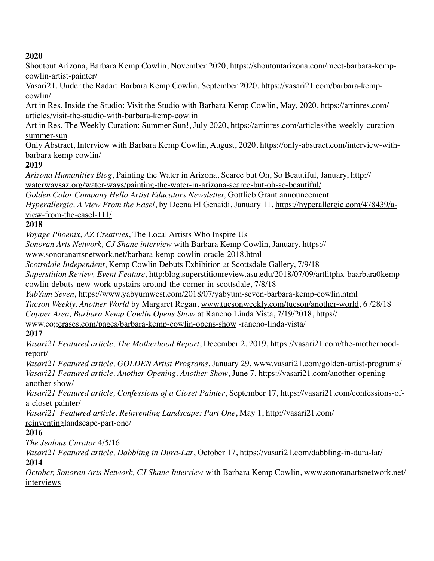Shoutout Arizona, Barbara Kemp Cowlin, November 2020, https://shoutoutarizona.com/meet-barbara-kempcowlin-artist-painter/

Vasari21, Under the Radar: Barbara Kemp Cowlin, September 2020, https://vasari21.com/barbara-kempcowlin/

Art in Res, Inside the Studio: Visit the Studio with Barbara Kemp Cowlin, May, 2020, https://artinres.com/ articles/visit-the-studio-with-barbara-kemp-cowlin

Art in Res, The Weekly Curation: Summer Sun!, July 2020, [https://artinres.com/articles/the-weekly-curation](https://artinres.com/articles/the-weekly-curation-summer-sun)[summer-sun](https://artinres.com/articles/the-weekly-curation-summer-sun)

Only Abstract, Interview with Barbara Kemp Cowlin, August, 2020, https://only-abstract.com/interview-withbarbara-kemp-cowlin/

## **2019**

*Arizona Humanities Blog*, Painting the Water in Arizona, Scarce but Oh, So Beautiful, January, [http://](http://waterwaysaz.org/water-ways/painting-the-water-in-arizona-scarce-but-oh-so-beautiful/) [waterwaysaz.org/water-ways/painting-the-water-in-arizona-scarce-but-oh-so-beautiful/](http://waterwaysaz.org/water-ways/painting-the-water-in-arizona-scarce-but-oh-so-beautiful/)

*Golden Color Company Hello Artist Educators Newsletter,* Gottlieb Grant announcement

*Hyperallergic, A View From the Easel*, by Deena El Genaidi, January 11, [https://hyperallergic.com/478439/a](https://hyperallergic.com/478439/a-view-from-the-easel-111/)[view-from-the-easel-111/](https://hyperallergic.com/478439/a-view-from-the-easel-111/)

## **2018**

*Voyage Phoenix, AZ Creatives*, The Local Artists Who Inspire Us

*Sonoran Arts Network, CJ Shane interview* with Barbara Kemp Cowlin, January, [https://](https://www.sonoranartsnetwork.net/barbara-kemp-cowlin-oracle-2018.html)

[www.sonoranartsnetwork.net/barbara-kemp-cowlin-oracle-2018.html](https://www.sonoranartsnetwork.net/barbara-kemp-cowlin-oracle-2018.html)

*Scottsdale Independent*, Kemp Cowlin Debuts Exhibition at Scottsdale Gallery, 7/9/18

*Superstition Review, Event Feature,* [http:blog.superstitionreview.asu.edu/2018/07/09/artlitphx-baarbara0kemp](http://blog.superstitionreview.asu.edu/2018/07/09/artlitphx-baarbara0kemp-cowlin-debuts-new-work-upstairs-around-the-corner-in-scottsdale)[cowlin-debuts-new-work-upstairs-around-the-corner-in-scottsdale,](http://blog.superstitionreview.asu.edu/2018/07/09/artlitphx-baarbara0kemp-cowlin-debuts-new-work-upstairs-around-the-corner-in-scottsdale) 7/8/18

*YabYum Seven*, https://www.yabyumwest.com/2018/07/yabyum-seven-barbara-kemp-cowlin.html

*Tucson Weekly, Another World* by Margaret Regan, [www.tucsonweekly.com/tucson/another-world](http://www.tucsonweekly.com/tucson/another-world), 6 /28/18

*Copper Area, Barbara Kemp Cowlin Opens Show* at Rancho Linda Vista, 7/19/2018, https//

www.co;[;erases.com/pages/barbara-kemp-cowlin-opens-show](http://erases.com/pages/barbara-kemp-cowlin-opens-show) -rancho-linda-vista/

## **2017**

*Vasari21 Featured article, The Motherhood Report*, December 2, 2019, https://vasari21.com/the-motherhoodreport/

*Vasari21 Featured article, GOLDEN Artist Programs*, January 29, [www.vasari21.com/golden](http://www.vasari21.com/golden)-artist-programs/ *Vasari21 Featured article, Another Opening, Another Show*, June 7, [https://vasari21.com/another-opening](https://vasari21.com/another-opening-another-show/)[another-show/](https://vasari21.com/another-opening-another-show/)

*Vasari21 Featured article, Confessions of a Closet Painter*, September 17, [https://vasari21.com/confessions-of](https://vasari21.com/confessions-of-a-closet-painter/)[a-closet-painter/](https://vasari21.com/confessions-of-a-closet-painter/)

*Vasari21 Featured article, Reinventing Landscape: Part One*, May 1, [http://vasari21.com/](http://vasari21.com/reinventin) [reinventing](http://vasari21.com/reinventin)landscape-part-one/

## **2016**

*The Jealous Curator* 4/5/16

*Vasari21 Featured article, Dabbling in Dura-Lar*, October 17, https://vasari21.com/dabbling-in-dura-lar/ **2014** 

*October, Sonoran Arts Network, CJ Shane Interview* with Barbara Kemp Cowlin, [www.sonoranartsnetwork.net/](http://www.sonoranartsnetwork.net/interviews) [interviews](http://www.sonoranartsnetwork.net/interviews)